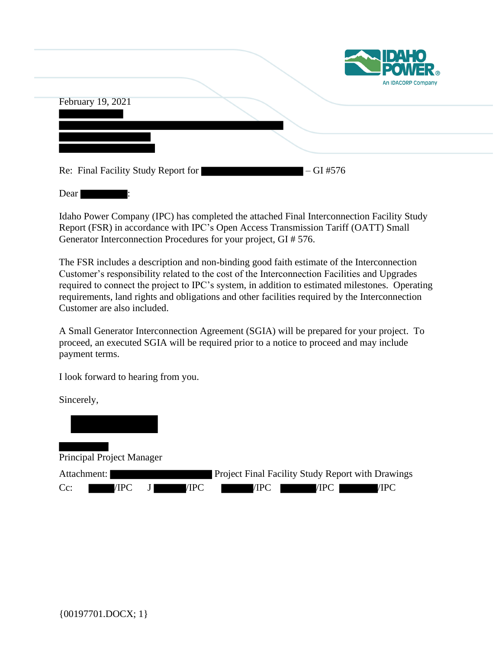|                   |  | <b>EXAMPLE POWER</b><br>An IDACORP Company |
|-------------------|--|--------------------------------------------|
| February 19, 2021 |  |                                            |
|                   |  |                                            |
|                   |  |                                            |
|                   |  |                                            |

Dear |

Idaho Power Company (IPC) has completed the attached Final Interconnection Facility Study Report (FSR) in accordance with IPC's Open Access Transmission Tariff (OATT) Small Generator Interconnection Procedures for your project, GI # 576.

The FSR includes a description and non-binding good faith estimate of the Interconnection Customer's responsibility related to the cost of the Interconnection Facilities and Upgrades required to connect the project to IPC's system, in addition to estimated milestones. Operating requirements, land rights and obligations and other facilities required by the Interconnection Customer are also included.

A Small Generator Interconnection Agreement (SGIA) will be prepared for your project. To proceed, an executed SGIA will be required prior to a notice to proceed and may include payment terms.

I look forward to hearing from you.

Sincerely,

Principal Project Manager Attachment: Project Final Facility Study Report with Drawings Cc: /IPC J /IPC /IPC /IPC /IPC /IPC /IPC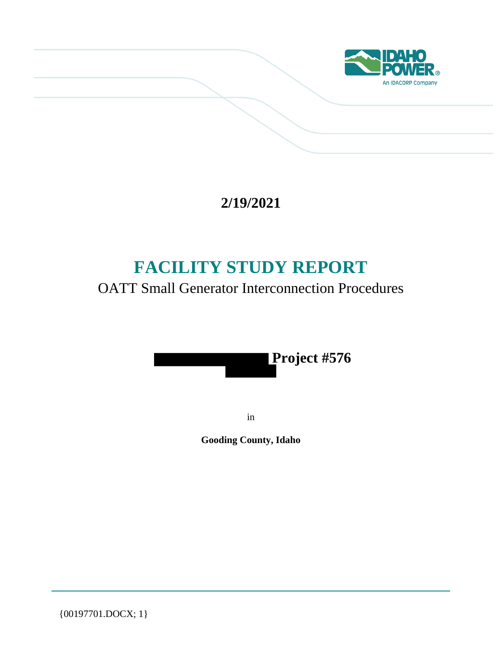

# **2/19/2021**

# **FACILITY STUDY REPORT**

## OATT Small Generator Interconnection Procedures



in

**Gooding County, Idaho**

{00197701.DOCX; 1}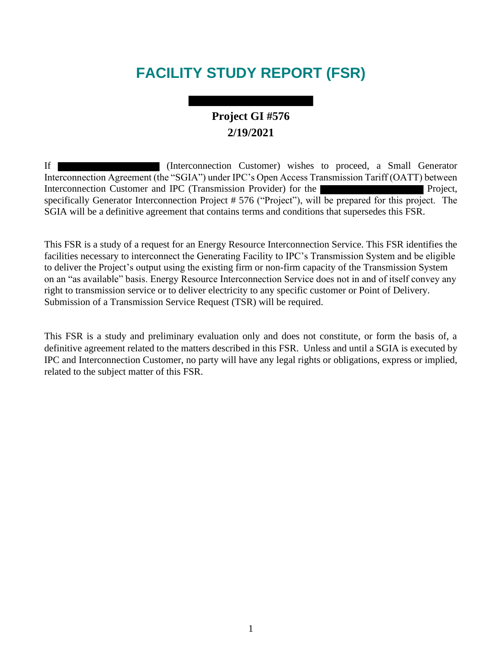# **FACILITY STUDY REPORT (FSR)**

## **Project GI #576 2/19/2021**

If (Interconnection Customer) wishes to proceed, a Small Generator Interconnection Agreement (the "SGIA") under IPC's Open Access Transmission Tariff (OATT) between Interconnection Customer and IPC (Transmission Provider) for the Project, specifically Generator Interconnection Project # 576 ("Project"), will be prepared for this project. The SGIA will be a definitive agreement that contains terms and conditions that supersedes this FSR.

This FSR is a study of a request for an Energy Resource Interconnection Service. This FSR identifies the facilities necessary to interconnect the Generating Facility to IPC's Transmission System and be eligible to deliver the Project's output using the existing firm or non-firm capacity of the Transmission System on an "as available" basis. Energy Resource Interconnection Service does not in and of itself convey any right to transmission service or to deliver electricity to any specific customer or Point of Delivery. Submission of a Transmission Service Request (TSR) will be required.

This FSR is a study and preliminary evaluation only and does not constitute, or form the basis of, a definitive agreement related to the matters described in this FSR. Unless and until a SGIA is executed by IPC and Interconnection Customer, no party will have any legal rights or obligations, express or implied, related to the subject matter of this FSR.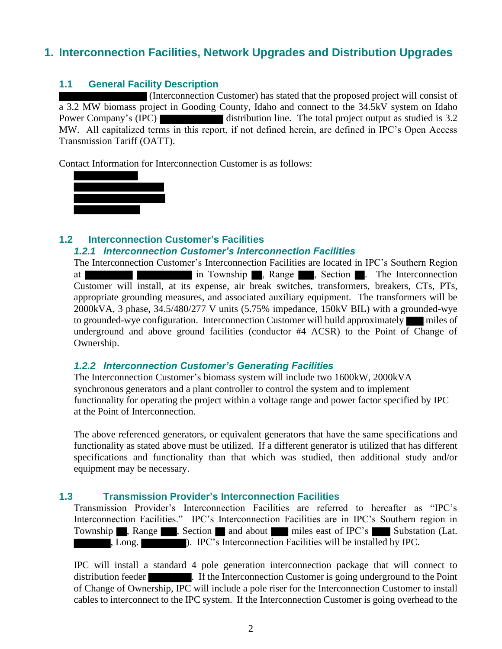### **1. Interconnection Facilities, Network Upgrades and Distribution Upgrades**

#### **1.1 General Facility Description**

(Interconnection Customer) has stated that the proposed project will consist of a 3.2 MW biomass project in Gooding County, Idaho and connect to the 34.5kV system on Idaho Power Company's (IPC) distribution line. The total project output as studied is 3.2 MW. All capitalized terms in this report, if not defined herein, are defined in IPC's Open Access Transmission Tariff (OATT).

Contact Information for Interconnection Customer is as follows:



#### **1.2 Interconnection Customer's Facilities** *1.2.1 Interconnection Customer's Interconnection Facilities*

The Interconnection Customer's Interconnection Facilities are located in IPC's Southern Region at in Township , Range , Section . The Interconnection Customer will install, at its expense, air break switches, transformers, breakers, CTs, PTs, appropriate grounding measures, and associated auxiliary equipment. The transformers will be 2000kVA, 3 phase, 34.5/480/277 V units (5.75% impedance, 150kV BIL) with a grounded-wye to grounded-wye configuration. Interconnection Customer will build approximately miles of underground and above ground facilities (conductor #4 ACSR) to the Point of Change of Ownership.

#### *1.2.2 Interconnection Customer's Generating Facilities*

The Interconnection Customer's biomass system will include two 1600kW, 2000kVA synchronous generators and a plant controller to control the system and to implement functionality for operating the project within a voltage range and power factor specified by IPC at the Point of Interconnection.

The above referenced generators, or equivalent generators that have the same specifications and functionality as stated above must be utilized. If a different generator is utilized that has different specifications and functionality than that which was studied, then additional study and/or equipment may be necessary.

#### **1.3 Transmission Provider's Interconnection Facilities**

Transmission Provider's Interconnection Facilities are referred to hereafter as "IPC's Interconnection Facilities." IPC's Interconnection Facilities are in IPC's Southern region in Township , Range , Section and about miles east of IPC's Substation (Lat. , Long. **I.e., 1998** (I.e., 1998). IPC's Interconnection Facilities will be installed by IPC.

IPC will install a standard 4 pole generation interconnection package that will connect to distribution feeder . If the Interconnection Customer is going underground to the Point of Change of Ownership, IPC will include a pole riser for the Interconnection Customer to install cables to interconnect to the IPC system. If the Interconnection Customer is going overhead to the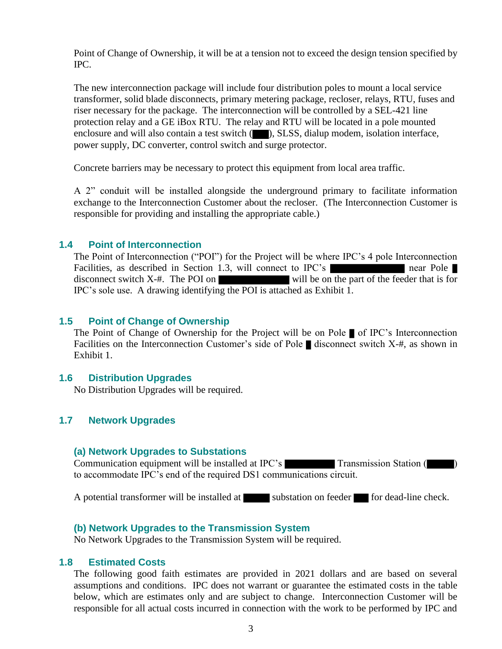Point of Change of Ownership, it will be at a tension not to exceed the design tension specified by IPC.

The new interconnection package will include four distribution poles to mount a local service transformer, solid blade disconnects, primary metering package, recloser, relays, RTU, fuses and riser necessary for the package. The interconnection will be controlled by a SEL-421 line protection relay and a GE iBox RTU. The relay and RTU will be located in a pole mounted enclosure and will also contain a test switch  $(\Box)$ , SLSS, dialup modem, isolation interface, power supply, DC converter, control switch and surge protector.

Concrete barriers may be necessary to protect this equipment from local area traffic.

A 2" conduit will be installed alongside the underground primary to facilitate information exchange to the Interconnection Customer about the recloser. (The Interconnection Customer is responsible for providing and installing the appropriate cable.)

#### **1.4 Point of Interconnection**

The Point of Interconnection ("POI") for the Project will be where IPC's 4 pole Interconnection Facilities, as described in Section 1.3, will connect to IPC's near Pole disconnect switch  $X_{-}$ #. The POI on will be on the part of the feeder that is for IPC's sole use. A drawing identifying the POI is attached as Exhibit 1.

#### **1.5 Point of Change of Ownership**

The Point of Change of Ownership for the Project will be on Pole  $\blacksquare$  of IPC's Interconnection Facilities on the Interconnection Customer's side of Pole  $\blacksquare$  disconnect switch X-#, as shown in Exhibit 1.

#### **1.6 Distribution Upgrades**

No Distribution Upgrades will be required.

#### **1.7 Network Upgrades**

#### **(a) Network Upgrades to Substations**

Communication equipment will be installed at IPC's Transmission Station ( ) to accommodate IPC's end of the required DS1 communications circuit.

A potential transformer will be installed at substation on feeder for dead-line check.

#### **(b) Network Upgrades to the Transmission System**

No Network Upgrades to the Transmission System will be required.

#### **1.8 Estimated Costs**

The following good faith estimates are provided in 2021 dollars and are based on several assumptions and conditions. IPC does not warrant or guarantee the estimated costs in the table below, which are estimates only and are subject to change. Interconnection Customer will be responsible for all actual costs incurred in connection with the work to be performed by IPC and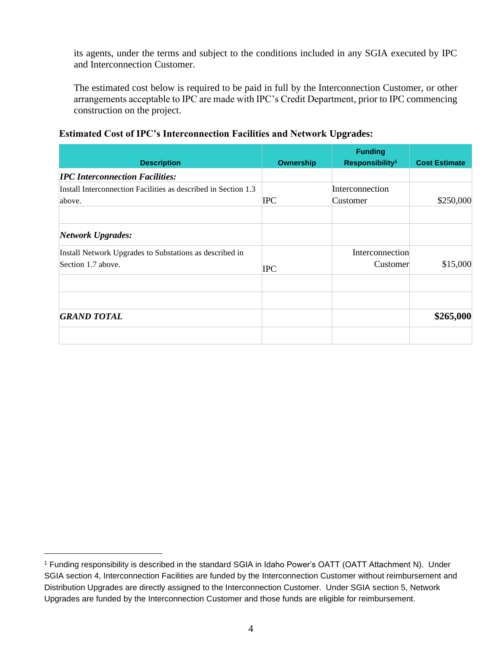its agents, under the terms and subject to the conditions included in any SGIA executed by IPC and Interconnection Customer.

The estimated cost below is required to be paid in full by the Interconnection Customer, or other arrangements acceptable to IPC are made with IPC's Credit Department, prior to IPC commencing construction on the project.

#### **Estimated Cost of IPC's Interconnection Facilities and Network Upgrades:**

| <b>Description</b>                                                            | <b>Ownership</b> | <b>Funding</b><br>Responsibility <sup>1</sup> | <b>Cost Estimate</b> |
|-------------------------------------------------------------------------------|------------------|-----------------------------------------------|----------------------|
| <b>IPC Interconnection Facilities:</b>                                        |                  |                                               |                      |
| Install Interconnection Facilities as described in Section 1.3<br>above.      | <b>IPC</b>       | Interconnection<br>Customer                   | \$250,000            |
| <b>Network Upgrades:</b>                                                      |                  |                                               |                      |
| Install Network Upgrades to Substations as described in<br>Section 1.7 above. | <b>IPC</b>       | Interconnection<br>Customer                   | \$15,000             |
|                                                                               |                  |                                               |                      |
| <b>GRAND TOTAL</b>                                                            |                  |                                               | \$265,000            |
|                                                                               |                  |                                               |                      |

<sup>1</sup> Funding responsibility is described in the standard SGIA in Idaho Power's OATT (OATT Attachment N). Under SGIA section 4, Interconnection Facilities are funded by the Interconnection Customer without reimbursement and Distribution Upgrades are directly assigned to the Interconnection Customer. Under SGIA section 5, Network Upgrades are funded by the Interconnection Customer and those funds are eligible for reimbursement.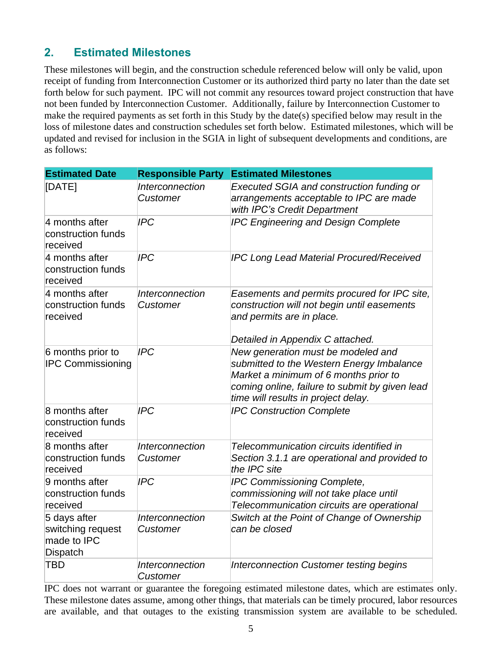### **2. Estimated Milestones**

These milestones will begin, and the construction schedule referenced below will only be valid, upon receipt of funding from Interconnection Customer or its authorized third party no later than the date set forth below for such payment. IPC will not commit any resources toward project construction that have not been funded by Interconnection Customer. Additionally, failure by Interconnection Customer to make the required payments as set forth in this Study by the date(s) specified below may result in the loss of milestone dates and construction schedules set forth below. Estimated milestones, which will be updated and revised for inclusion in the SGIA in light of subsequent developments and conditions, are as follows:

| <b>Estimated Date</b>                                        | <b>Responsible Party</b>                  | <b>Estimated Milestones</b>                                                                                                                                                                                       |
|--------------------------------------------------------------|-------------------------------------------|-------------------------------------------------------------------------------------------------------------------------------------------------------------------------------------------------------------------|
| [DATE]                                                       | <i><b>Interconnection</b></i><br>Customer | Executed SGIA and construction funding or<br>arrangements acceptable to IPC are made<br>with IPC's Credit Department                                                                                              |
| 4 months after<br>construction funds<br>received             | <b>IPC</b>                                | <b>IPC Engineering and Design Complete</b>                                                                                                                                                                        |
| 4 months after<br>construction funds<br>received             | <b>IPC</b>                                | <b>IPC Long Lead Material Procured/Received</b>                                                                                                                                                                   |
| 4 months after<br>construction funds<br>received             | <b>Interconnection</b><br>Customer        | Easements and permits procured for IPC site,<br>construction will not begin until easements<br>and permits are in place.<br>Detailed in Appendix C attached.                                                      |
| 6 months prior to<br><b>IPC Commissioning</b>                | <b>IPC</b>                                | New generation must be modeled and<br>submitted to the Western Energy Imbalance<br>Market a minimum of 6 months prior to<br>coming online, failure to submit by given lead<br>time will results in project delay. |
| 8 months after<br>construction funds<br>received             | <b>IPC</b>                                | <b>IPC Construction Complete</b>                                                                                                                                                                                  |
| 8 months after<br>construction funds<br>received             | Interconnection<br>Customer               | Telecommunication circuits identified in<br>Section 3.1.1 are operational and provided to<br>the IPC site                                                                                                         |
| 9 months after<br>construction funds<br>received             | <b>IPC</b>                                | IPC Commissioning Complete,<br>commissioning will not take place until<br>Telecommunication circuits are operational                                                                                              |
| 5 days after<br>switching request<br>made to IPC<br>Dispatch | Interconnection<br><b>Customer</b>        | Switch at the Point of Change of Ownership<br>can be closed                                                                                                                                                       |
| <b>TBD</b>                                                   | <b>Interconnection</b><br>Customer        | <b>Interconnection Customer testing begins</b>                                                                                                                                                                    |

IPC does not warrant or guarantee the foregoing estimated milestone dates, which are estimates only. These milestone dates assume, among other things, that materials can be timely procured, labor resources are available, and that outages to the existing transmission system are available to be scheduled.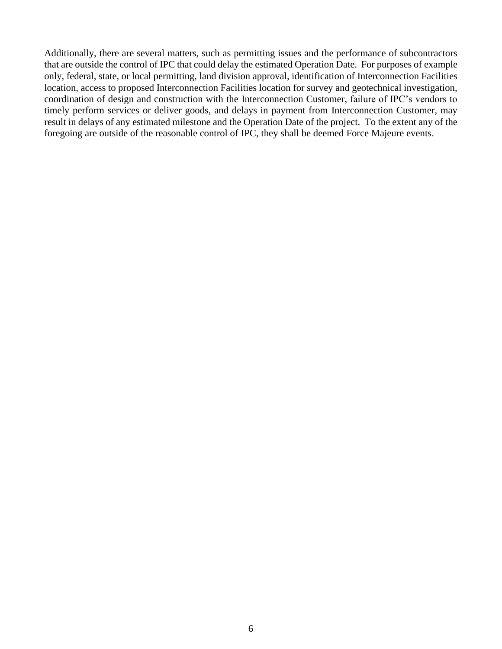Additionally, there are several matters, such as permitting issues and the performance of subcontractors that are outside the control of IPC that could delay the estimated Operation Date. For purposes of example only, federal, state, or local permitting, land division approval, identification of Interconnection Facilities location, access to proposed Interconnection Facilities location for survey and geotechnical investigation, coordination of design and construction with the Interconnection Customer, failure of IPC's vendors to timely perform services or deliver goods, and delays in payment from Interconnection Customer, may result in delays of any estimated milestone and the Operation Date of the project. To the extent any of the foregoing are outside of the reasonable control of IPC, they shall be deemed Force Majeure events.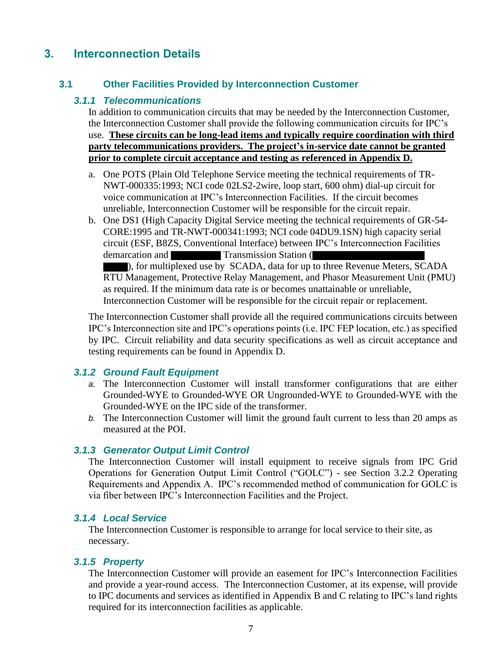### **3. Interconnection Details**

#### **3.1 Other Facilities Provided by Interconnection Customer**

#### *3.1.1 Telecommunications*

In addition to communication circuits that may be needed by the Interconnection Customer, the Interconnection Customer shall provide the following communication circuits for IPC's use. **These circuits can be long-lead items and typically require coordination with third party telecommunications providers. The project's in-service date cannot be granted prior to complete circuit acceptance and testing as referenced in Appendix D.** 

- a. One POTS (Plain Old Telephone Service meeting the technical requirements of TR-NWT-000335:1993; NCI code 02LS2-2wire, loop start, 600 ohm) dial-up circuit for voice communication at IPC's Interconnection Facilities. If the circuit becomes unreliable, Interconnection Customer will be responsible for the circuit repair.
- b. One DS1 (High Capacity Digital Service meeting the technical requirements of GR-54- CORE:1995 and TR-NWT-000341:1993; NCI code 04DU9.1SN) high capacity serial circuit (ESF, B8ZS, Conventional Interface) between IPC's Interconnection Facilities demarcation and Transmission Station ( ), for multiplexed use by SCADA, data for up to three Revenue Meters, SCADA RTU Management, Protective Relay Management, and Phasor Measurement Unit (PMU) as required. If the minimum data rate is or becomes unattainable or unreliable,

Interconnection Customer will be responsible for the circuit repair or replacement.

The Interconnection Customer shall provide all the required communications circuits between IPC's Interconnection site and IPC's operations points (i.e. IPC FEP location, etc.) as specified by IPC. Circuit reliability and data security specifications as well as circuit acceptance and testing requirements can be found in Appendix D.

#### *3.1.2 Ground Fault Equipment*

- *a.* The Interconnection Customer will install transformer configurations that are either Grounded-WYE to Grounded-WYE OR Ungrounded-WYE to Grounded-WYE with the Grounded-WYE on the IPC side of the transformer.
- *b.* The Interconnection Customer will limit the ground fault current to less than 20 amps as measured at the POI.

#### *3.1.3 Generator Output Limit Control*

The Interconnection Customer will install equipment to receive signals from IPC Grid Operations for Generation Output Limit Control ("GOLC") - see Section 3.2.2 Operating Requirements and Appendix A. IPC's recommended method of communication for GOLC is via fiber between IPC's Interconnection Facilities and the Project.

#### *3.1.4 Local Service*

The Interconnection Customer is responsible to arrange for local service to their site, as necessary.

#### *3.1.5 Property*

The Interconnection Customer will provide an easement for IPC's Interconnection Facilities and provide a year-round access. The Interconnection Customer, at its expense, will provide to IPC documents and services as identified in Appendix B and C relating to IPC's land rights required for its interconnection facilities as applicable.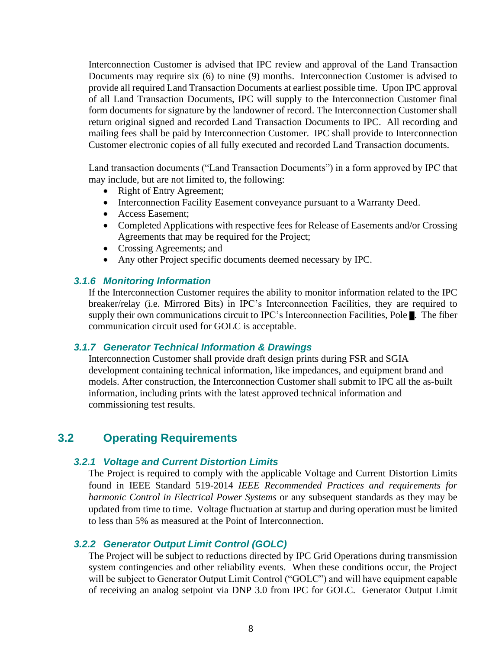Interconnection Customer is advised that IPC review and approval of the Land Transaction Documents may require six (6) to nine (9) months. Interconnection Customer is advised to provide all required Land Transaction Documents at earliest possible time. Upon IPC approval of all Land Transaction Documents, IPC will supply to the Interconnection Customer final form documents for signature by the landowner of record. The Interconnection Customer shall return original signed and recorded Land Transaction Documents to IPC. All recording and mailing fees shall be paid by Interconnection Customer. IPC shall provide to Interconnection Customer electronic copies of all fully executed and recorded Land Transaction documents.

Land transaction documents ("Land Transaction Documents") in a form approved by IPC that may include, but are not limited to, the following:

- Right of Entry Agreement;
- Interconnection Facility Easement conveyance pursuant to a Warranty Deed.
- Access Easement:
- Completed Applications with respective fees for Release of Easements and/or Crossing Agreements that may be required for the Project;
- Crossing Agreements; and
- Any other Project specific documents deemed necessary by IPC.

#### *3.1.6 Monitoring Information*

If the Interconnection Customer requires the ability to monitor information related to the IPC breaker/relay (i.e. Mirrored Bits) in IPC's Interconnection Facilities, they are required to supply their own communications circuit to IPC's Interconnection Facilities, Pole . The fiber communication circuit used for GOLC is acceptable.

#### *3.1.7 Generator Technical Information & Drawings*

Interconnection Customer shall provide draft design prints during FSR and SGIA development containing technical information, like impedances, and equipment brand and models. After construction, the Interconnection Customer shall submit to IPC all the as-built information, including prints with the latest approved technical information and commissioning test results.

#### **3.2 Operating Requirements**

#### *3.2.1 Voltage and Current Distortion Limits*

The Project is required to comply with the applicable Voltage and Current Distortion Limits found in IEEE Standard 519-2014 *IEEE Recommended Practices and requirements for harmonic Control in Electrical Power Systems* or any subsequent standards as they may be updated from time to time. Voltage fluctuation at startup and during operation must be limited to less than 5% as measured at the Point of Interconnection.

#### *3.2.2 Generator Output Limit Control (GOLC)*

The Project will be subject to reductions directed by IPC Grid Operations during transmission system contingencies and other reliability events. When these conditions occur, the Project will be subject to Generator Output Limit Control ("GOLC") and will have equipment capable of receiving an analog setpoint via DNP 3.0 from IPC for GOLC. Generator Output Limit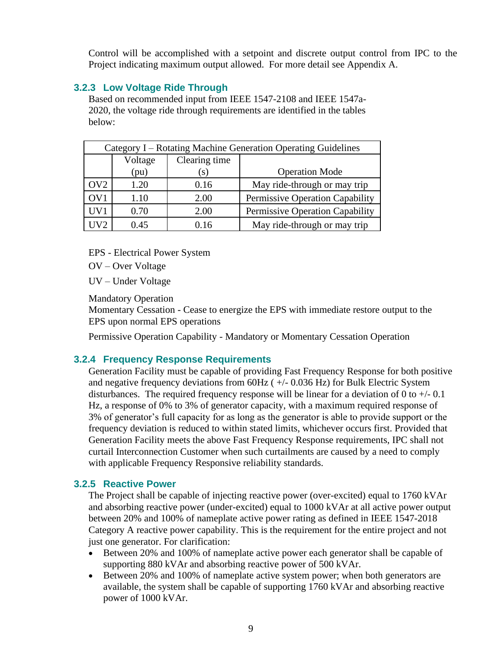Control will be accomplished with a setpoint and discrete output control from IPC to the Project indicating maximum output allowed. For more detail see Appendix A.

#### **3.2.3 Low Voltage Ride Through**

Based on recommended input from IEEE 1547-2108 and IEEE 1547a-2020, the voltage ride through requirements are identified in the tables below:

| Category I – Rotating Machine Generation Operating Guidelines |         |               |                                 |  |  |  |  |  |
|---------------------------------------------------------------|---------|---------------|---------------------------------|--|--|--|--|--|
|                                                               | Voltage | Clearing time |                                 |  |  |  |  |  |
|                                                               | (pu)    | $\mathbf{S}$  | <b>Operation Mode</b>           |  |  |  |  |  |
| OV <sub>2</sub>                                               | 1.20    | 0.16          | May ride-through or may trip    |  |  |  |  |  |
| OV <sub>1</sub>                                               | 1.10    | 2.00          | Permissive Operation Capability |  |  |  |  |  |
| UV1                                                           | 0.70    | 2.00          | Permissive Operation Capability |  |  |  |  |  |
| HV2                                                           | 0.45    | 0.16          | May ride-through or may trip    |  |  |  |  |  |

EPS - Electrical Power System

OV – Over Voltage

UV – Under Voltage

Mandatory Operation

Momentary Cessation - Cease to energize the EPS with immediate restore output to the EPS upon normal EPS operations

Permissive Operation Capability - Mandatory or Momentary Cessation Operation

#### **3.2.4 Frequency Response Requirements**

Generation Facility must be capable of providing Fast Frequency Response for both positive and negative frequency deviations from 60Hz ( +/- 0.036 Hz) for Bulk Electric System disturbances. The required frequency response will be linear for a deviation of 0 to  $+/$ -0.1 Hz, a response of 0% to 3% of generator capacity, with a maximum required response of 3% of generator's full capacity for as long as the generator is able to provide support or the frequency deviation is reduced to within stated limits, whichever occurs first. Provided that Generation Facility meets the above Fast Frequency Response requirements, IPC shall not curtail Interconnection Customer when such curtailments are caused by a need to comply with applicable Frequency Responsive reliability standards.

#### **3.2.5 Reactive Power**

The Project shall be capable of injecting reactive power (over-excited) equal to 1760 kVAr and absorbing reactive power (under-excited) equal to 1000 kVAr at all active power output between 20% and 100% of nameplate active power rating as defined in IEEE 1547-2018 Category A reactive power capability. This is the requirement for the entire project and not just one generator. For clarification:

- Between 20% and 100% of nameplate active power each generator shall be capable of supporting 880 kVAr and absorbing reactive power of 500 kVAr.
- Between 20% and 100% of nameplate active system power; when both generators are available, the system shall be capable of supporting 1760 kVAr and absorbing reactive power of 1000 kVAr.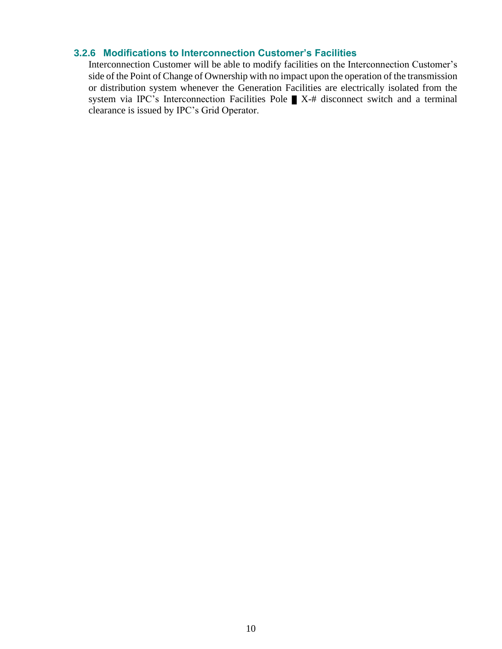#### **3.2.6 Modifications to Interconnection Customer's Facilities**

Interconnection Customer will be able to modify facilities on the Interconnection Customer's side of the Point of Change of Ownership with no impact upon the operation of the transmission or distribution system whenever the Generation Facilities are electrically isolated from the system via IPC's Interconnection Facilities Pole  $\blacksquare$  X-# disconnect switch and a terminal clearance is issued by IPC's Grid Operator.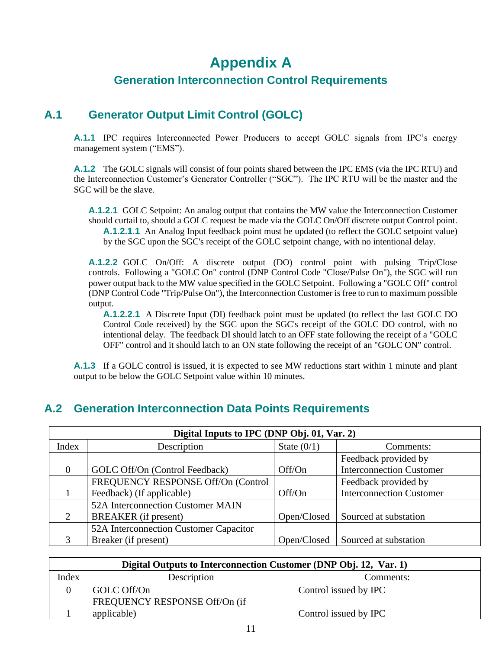## **Appendix A Generation Interconnection Control Requirements**

### **A.1 Generator Output Limit Control (GOLC)**

**A.1.1** IPC requires Interconnected Power Producers to accept GOLC signals from IPC's energy management system ("EMS").

**A.1.2** The GOLC signals will consist of four points shared between the IPC EMS (via the IPC RTU) and the Interconnection Customer's Generator Controller ("SGC"). The IPC RTU will be the master and the SGC will be the slave.

**A.1.2.1** GOLC Setpoint: An analog output that contains the MW value the Interconnection Customer should curtail to, should a GOLC request be made via the GOLC On/Off discrete output Control point. **A.1.2.1.1** An Analog Input feedback point must be updated (to reflect the GOLC setpoint value) by the SGC upon the SGC's receipt of the GOLC setpoint change, with no intentional delay.

**A.1.2.2** GOLC On/Off: A discrete output (DO) control point with pulsing Trip/Close controls. Following a "GOLC On" control (DNP Control Code "Close/Pulse On"), the SGC will run power output back to the MW value specified in the GOLC Setpoint. Following a "GOLC Off" control (DNP Control Code "Trip/Pulse On"), the Interconnection Customer is free to run to maximum possible output.

**A.1.2.2.1** A Discrete Input (DI) feedback point must be updated (to reflect the last GOLC DO Control Code received) by the SGC upon the SGC's receipt of the GOLC DO control, with no intentional delay. The feedback DI should latch to an OFF state following the receipt of a "GOLC OFF" control and it should latch to an ON state following the receipt of an "GOLC ON" control.

**A.1.3** If a GOLC control is issued, it is expected to see MW reductions start within 1 minute and plant output to be below the GOLC Setpoint value within 10 minutes.

### **A.2 Generation Interconnection Data Points Requirements**

|          | Digital Inputs to IPC (DNP Obj. 01, Var. 2) |               |                                 |  |  |  |  |  |  |
|----------|---------------------------------------------|---------------|---------------------------------|--|--|--|--|--|--|
| Index    | Description                                 | State $(0/1)$ | Comments:                       |  |  |  |  |  |  |
|          |                                             |               | Feedback provided by            |  |  |  |  |  |  |
| $\theta$ | GOLC Off/On (Control Feedback)              | Off/On        | <b>Interconnection Customer</b> |  |  |  |  |  |  |
|          | FREQUENCY RESPONSE Off/On (Control          |               | Feedback provided by            |  |  |  |  |  |  |
|          | Feedback) (If applicable)                   | Off/On        | <b>Interconnection Customer</b> |  |  |  |  |  |  |
|          | 52A Interconnection Customer MAIN           |               |                                 |  |  |  |  |  |  |
| 2        | <b>BREAKER</b> (if present)                 | Open/Closed   | Sourced at substation           |  |  |  |  |  |  |
|          | 52A Interconnection Customer Capacitor      |               |                                 |  |  |  |  |  |  |
| 3        | Breaker (if present)                        | Open/Closed   | Sourced at substation           |  |  |  |  |  |  |

| Digital Outputs to Interconnection Customer (DNP Obj. 12, Var. 1) |                               |                       |  |  |  |  |  |
|-------------------------------------------------------------------|-------------------------------|-----------------------|--|--|--|--|--|
| Index                                                             | Description                   | Comments:             |  |  |  |  |  |
|                                                                   | GOLC Off/On                   | Control issued by IPC |  |  |  |  |  |
|                                                                   | FREQUENCY RESPONSE Off/On (if |                       |  |  |  |  |  |
|                                                                   | applicable)                   | Control issued by IPC |  |  |  |  |  |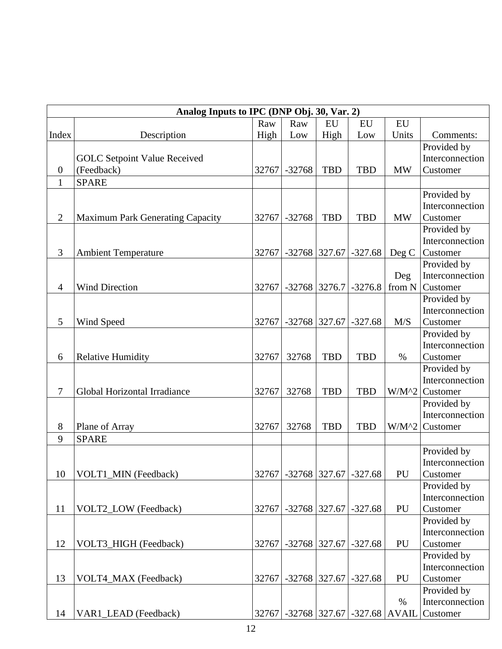|                  | Analog Inputs to IPC (DNP Obj. 30, Var. 2) |       |                 |            |                               |              |                 |  |  |
|------------------|--------------------------------------------|-------|-----------------|------------|-------------------------------|--------------|-----------------|--|--|
|                  |                                            | Raw   | Raw             | <b>EU</b>  | EU                            | <b>EU</b>    |                 |  |  |
| Index            | Description                                | High  | Low             | High       | Low                           | Units        | Comments:       |  |  |
|                  |                                            |       |                 |            |                               |              | Provided by     |  |  |
|                  | <b>GOLC</b> Setpoint Value Received        |       |                 |            |                               |              | Interconnection |  |  |
| $\boldsymbol{0}$ | (Feedback)                                 | 32767 | $-32768$        | <b>TBD</b> | <b>TBD</b>                    | <b>MW</b>    | Customer        |  |  |
| $\mathbf{1}$     | <b>SPARE</b>                               |       |                 |            |                               |              |                 |  |  |
|                  |                                            |       |                 |            |                               |              | Provided by     |  |  |
|                  |                                            |       |                 |            |                               |              | Interconnection |  |  |
| $\mathbf{2}$     | Maximum Park Generating Capacity           | 32767 | $-32768$        | <b>TBD</b> | <b>TBD</b>                    | <b>MW</b>    | Customer        |  |  |
|                  |                                            |       |                 |            |                               |              | Provided by     |  |  |
|                  |                                            |       |                 |            |                               |              | Interconnection |  |  |
| 3                | <b>Ambient Temperature</b>                 | 32767 | $-32768$ 327.67 |            | $-327.68$                     | Deg C        | Customer        |  |  |
|                  |                                            |       |                 |            |                               |              | Provided by     |  |  |
|                  |                                            |       |                 |            |                               | Deg          | Interconnection |  |  |
| $\overline{4}$   | <b>Wind Direction</b>                      | 32767 |                 |            | $-32768$ 3276.7 $-3276.8$     | from N       | Customer        |  |  |
|                  |                                            |       |                 |            |                               |              | Provided by     |  |  |
|                  |                                            |       |                 |            |                               |              | Interconnection |  |  |
| 5                | Wind Speed                                 | 32767 | $-32768$ 327.67 |            | $-327.68$                     | M/S          | Customer        |  |  |
|                  |                                            |       |                 |            |                               |              | Provided by     |  |  |
|                  |                                            |       |                 |            |                               |              | Interconnection |  |  |
| 6                | <b>Relative Humidity</b>                   | 32767 | 32768           | <b>TBD</b> | <b>TBD</b>                    | $\%$         | Customer        |  |  |
|                  |                                            |       |                 |            |                               |              | Provided by     |  |  |
|                  |                                            |       |                 |            |                               |              | Interconnection |  |  |
| 7                | Global Horizontal Irradiance               | 32767 | 32768           | <b>TBD</b> | <b>TBD</b>                    | $W/M^2$      | Customer        |  |  |
|                  |                                            |       |                 |            |                               |              | Provided by     |  |  |
|                  |                                            |       |                 |            |                               |              | Interconnection |  |  |
| 8                | Plane of Array                             | 32767 | 32768           | <b>TBD</b> | <b>TBD</b>                    | $W/M^2$      | Customer        |  |  |
| 9                | <b>SPARE</b>                               |       |                 |            |                               |              |                 |  |  |
|                  |                                            |       |                 |            |                               |              | Provided by     |  |  |
|                  |                                            |       |                 |            |                               |              | Interconnection |  |  |
| 10               | VOLT1_MIN (Feedback)                       | 32767 |                 |            | $-32768$   327.67   $-327.68$ | PU           | Customer        |  |  |
|                  |                                            |       |                 |            |                               |              | Provided by     |  |  |
|                  |                                            |       |                 |            |                               |              | Interconnection |  |  |
| 11               | VOLT2_LOW (Feedback)                       | 32767 | $-32768$ 327.67 |            | $-327.68$                     | PU           | Customer        |  |  |
|                  |                                            |       |                 |            |                               |              | Provided by     |  |  |
|                  |                                            |       |                 |            |                               |              | Interconnection |  |  |
| 12               | VOLT3_HIGH (Feedback)                      | 32767 | $-32768$ 327.67 |            | $-327.68$                     | PU           | Customer        |  |  |
|                  |                                            |       |                 |            |                               |              | Provided by     |  |  |
|                  |                                            |       |                 |            |                               |              | Interconnection |  |  |
| 13               | VOLT4_MAX (Feedback)                       | 32767 | $-32768$ 327.67 |            | $-327.68$                     | PU           | Customer        |  |  |
|                  |                                            |       |                 |            |                               |              | Provided by     |  |  |
|                  |                                            |       |                 |            |                               | $\%$         | Interconnection |  |  |
| 14               | VAR1_LEAD (Feedback)                       | 32767 |                 |            | $-32768$ 327.67 $-327.68$     | <b>AVAIL</b> | Customer        |  |  |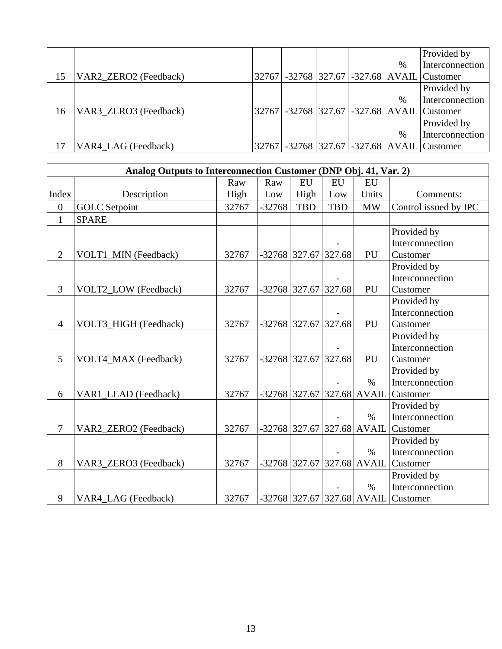|    |                       |  |  |      | Provided by                                  |
|----|-----------------------|--|--|------|----------------------------------------------|
|    |                       |  |  | $\%$ | Interconnection                              |
| 15 | VAR2_ZERO2 (Feedback) |  |  |      | 32767 - 32768 327.67 - 327.68 AVAIL Customer |
|    |                       |  |  |      | Provided by                                  |
|    |                       |  |  | $\%$ | Interconnection                              |
| 16 | VAR3_ZERO3 (Feedback) |  |  |      | 32767 - 32768 327.67 - 327.68 AVAIL Customer |
|    |                       |  |  |      | Provided by                                  |
|    |                       |  |  | $\%$ | Interconnection                              |
|    | VAR4_LAG (Feedback)   |  |  |      | 32767 - 32768 327.67 - 327.68 AVAIL Customer |

|                  | Analog Outputs to Interconnection Customer (DNP Obj. 41, Var. 2) |       |          |                        |            |                              |                                       |  |  |  |  |
|------------------|------------------------------------------------------------------|-------|----------|------------------------|------------|------------------------------|---------------------------------------|--|--|--|--|
|                  |                                                                  | Raw   | Raw      | <b>EU</b>              | EU         | EU                           |                                       |  |  |  |  |
| Index            | Description                                                      | High  | Low      | High                   | Low        | Units                        | Comments:                             |  |  |  |  |
| $\boldsymbol{0}$ | <b>GOLC</b> Setpoint                                             | 32767 | $-32768$ | <b>TBD</b>             | <b>TBD</b> | <b>MW</b>                    | Control issued by IPC                 |  |  |  |  |
| $\mathbf{1}$     | <b>SPARE</b>                                                     |       |          |                        |            |                              |                                       |  |  |  |  |
|                  |                                                                  |       |          |                        |            |                              | Provided by                           |  |  |  |  |
|                  |                                                                  |       |          |                        |            |                              | Interconnection                       |  |  |  |  |
| $\overline{2}$   | VOLT1_MIN (Feedback)                                             | 32767 |          | $-32768$ 327.67        | 327.68     | PU                           | Customer                              |  |  |  |  |
|                  |                                                                  |       |          |                        |            |                              | Provided by                           |  |  |  |  |
|                  |                                                                  |       |          |                        |            |                              | Interconnection                       |  |  |  |  |
| 3                | VOLT2_LOW (Feedback)                                             | 32767 |          | $-32768$ 327.67        | 327.68     | PU                           | Customer                              |  |  |  |  |
|                  |                                                                  |       |          |                        |            |                              | Provided by                           |  |  |  |  |
|                  |                                                                  |       |          |                        |            |                              | Interconnection                       |  |  |  |  |
| $\overline{4}$   | VOLT3_HIGH (Feedback)                                            | 32767 |          | $-32768$ 327.67 327.68 |            | PU                           | Customer                              |  |  |  |  |
|                  |                                                                  |       |          |                        |            |                              | Provided by                           |  |  |  |  |
|                  |                                                                  |       |          |                        |            |                              | Interconnection                       |  |  |  |  |
| 5                | VOLT4_MAX (Feedback)                                             | 32767 |          | $-32768$ 327.67        | 327.68     | PU                           | Customer                              |  |  |  |  |
|                  |                                                                  |       |          |                        |            |                              | Provided by                           |  |  |  |  |
|                  |                                                                  |       |          |                        |            | $\%$                         | Interconnection                       |  |  |  |  |
| 6                | VAR1_LEAD (Feedback)                                             | 32767 |          |                        |            | $-32768$ 327.67 327.68 AVAIL | Customer                              |  |  |  |  |
|                  |                                                                  |       |          |                        |            |                              | Provided by                           |  |  |  |  |
|                  |                                                                  |       |          |                        |            | $\%$                         | Interconnection                       |  |  |  |  |
| 7                | VAR2_ZERO2 (Feedback)                                            | 32767 |          |                        |            | $-32768$ 327.67 327.68 AVAIL | Customer                              |  |  |  |  |
|                  |                                                                  |       |          |                        |            |                              | Provided by                           |  |  |  |  |
|                  |                                                                  |       |          |                        |            | $\%$                         | Interconnection                       |  |  |  |  |
| 8                | VAR3_ZERO3 (Feedback)                                            | 32767 |          | $-32768$ 327.67        |            | 327.68 AVAIL                 | Customer                              |  |  |  |  |
|                  |                                                                  |       |          |                        |            |                              | Provided by                           |  |  |  |  |
|                  |                                                                  |       |          |                        |            | $\%$                         | Interconnection                       |  |  |  |  |
| 9                | VAR4_LAG (Feedback)                                              | 32767 |          |                        |            |                              | $-32768$ 327.67 327.68 AVAIL Customer |  |  |  |  |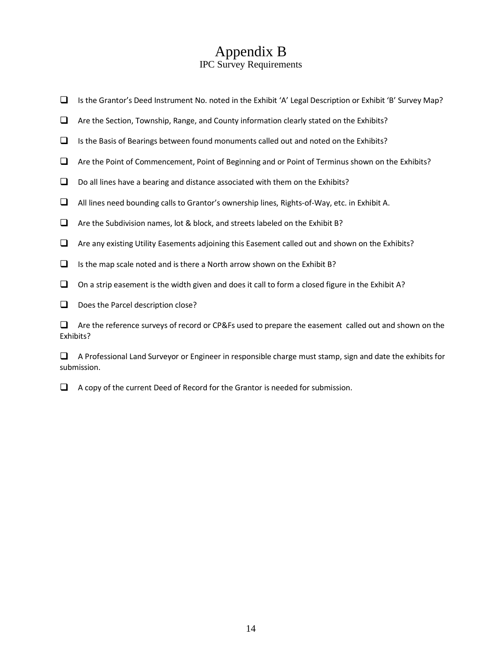## Appendix B

#### IPC Survey Requirements

- ❑ Is the Grantor's Deed Instrument No. noted in the Exhibit 'A' Legal Description or Exhibit 'B' Survey Map?
- ❑ Are the Section, Township, Range, and County information clearly stated on the Exhibits?
- $□$  Is the Basis of Bearings between found monuments called out and noted on the Exhibits?
- ❑ Are the Point of Commencement, Point of Beginning and or Point of Terminus shown on the Exhibits?
- $\Box$  Do all lines have a bearing and distance associated with them on the Exhibits?
- ❑ All lines need bounding calls to Grantor's ownership lines, Rights-of-Way, etc. in Exhibit A.
- ❑ Are the Subdivision names, lot & block, and streets labeled on the Exhibit B?
- ❑ Are any existing Utility Easements adjoining this Easement called out and shown on the Exhibits?
- $\Box$  Is the map scale noted and is there a North arrow shown on the Exhibit B?
- $\Box$  On a strip easement is the width given and does it call to form a closed figure in the Exhibit A?
- □ Does the Parcel description close?

❑ Are the reference surveys of record or CP&Fs used to prepare the easement called out and shown on the Exhibits?

❑ A Professional Land Surveyor or Engineer in responsible charge must stamp, sign and date the exhibits for submission.

❑ A copy of the current Deed of Record for the Grantor is needed for submission.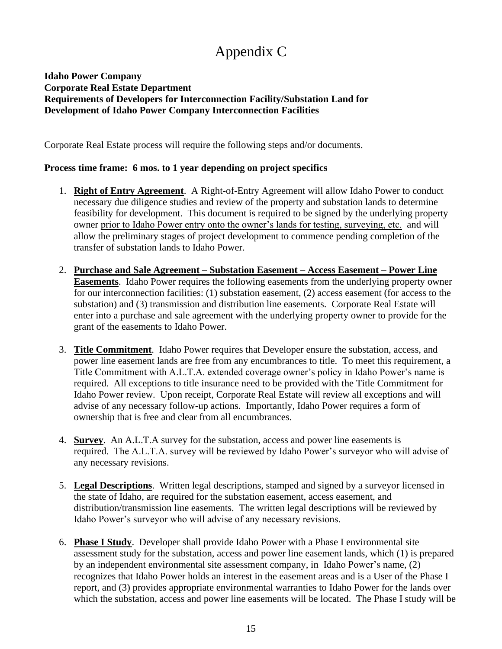## Appendix C

#### **Idaho Power Company Corporate Real Estate Department Requirements of Developers for Interconnection Facility/Substation Land for Development of Idaho Power Company Interconnection Facilities**

Corporate Real Estate process will require the following steps and/or documents.

#### **Process time frame: 6 mos. to 1 year depending on project specifics**

- 1. **Right of Entry Agreement**. A Right-of-Entry Agreement will allow Idaho Power to conduct necessary due diligence studies and review of the property and substation lands to determine feasibility for development. This document is required to be signed by the underlying property owner prior to Idaho Power entry onto the owner's lands for testing, surveying, etc. and will allow the preliminary stages of project development to commence pending completion of the transfer of substation lands to Idaho Power.
- 2. **Purchase and Sale Agreement – Substation Easement – Access Easement – Power Line Easements**. Idaho Power requires the following easements from the underlying property owner for our interconnection facilities: (1) substation easement, (2) access easement (for access to the substation) and (3) transmission and distribution line easements. Corporate Real Estate will enter into a purchase and sale agreement with the underlying property owner to provide for the grant of the easements to Idaho Power.
- 3. **Title Commitment**. Idaho Power requires that Developer ensure the substation, access, and power line easement lands are free from any encumbrances to title. To meet this requirement, a Title Commitment with A.L.T.A. extended coverage owner's policy in Idaho Power's name is required. All exceptions to title insurance need to be provided with the Title Commitment for Idaho Power review. Upon receipt, Corporate Real Estate will review all exceptions and will advise of any necessary follow-up actions. Importantly, Idaho Power requires a form of ownership that is free and clear from all encumbrances.
- 4. **Survey**. An A.L.T.A survey for the substation, access and power line easements is required. The A.L.T.A. survey will be reviewed by Idaho Power's surveyor who will advise of any necessary revisions.
- 5. **Legal Descriptions**. Written legal descriptions, stamped and signed by a surveyor licensed in the state of Idaho, are required for the substation easement, access easement, and distribution/transmission line easements. The written legal descriptions will be reviewed by Idaho Power's surveyor who will advise of any necessary revisions.
- 6. **Phase I Study**. Developer shall provide Idaho Power with a Phase I environmental site assessment study for the substation, access and power line easement lands, which (1) is prepared by an independent environmental site assessment company, in Idaho Power's name, (2) recognizes that Idaho Power holds an interest in the easement areas and is a User of the Phase I report, and (3) provides appropriate environmental warranties to Idaho Power for the lands over which the substation, access and power line easements will be located. The Phase I study will be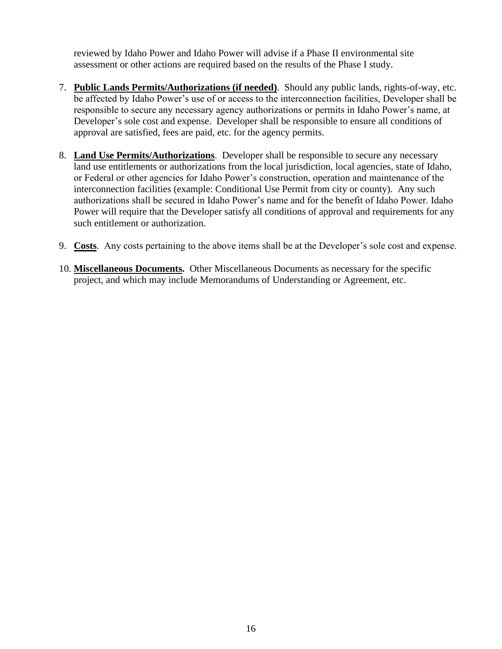reviewed by Idaho Power and Idaho Power will advise if a Phase II environmental site assessment or other actions are required based on the results of the Phase I study.

- 7. **Public Lands Permits/Authorizations (if needed)**. Should any public lands, rights-of-way, etc. be affected by Idaho Power's use of or access to the interconnection facilities, Developer shall be responsible to secure any necessary agency authorizations or permits in Idaho Power's name, at Developer's sole cost and expense. Developer shall be responsible to ensure all conditions of approval are satisfied, fees are paid, etc. for the agency permits.
- 8. **Land Use Permits/Authorizations**. Developer shall be responsible to secure any necessary land use entitlements or authorizations from the local jurisdiction, local agencies, state of Idaho, or Federal or other agencies for Idaho Power's construction, operation and maintenance of the interconnection facilities (example: Conditional Use Permit from city or county). Any such authorizations shall be secured in Idaho Power's name and for the benefit of Idaho Power. Idaho Power will require that the Developer satisfy all conditions of approval and requirements for any such entitlement or authorization.
- 9. **Costs**. Any costs pertaining to the above items shall be at the Developer's sole cost and expense.
- 10. **Miscellaneous Documents.** Other Miscellaneous Documents as necessary for the specific project, and which may include Memorandums of Understanding or Agreement, etc.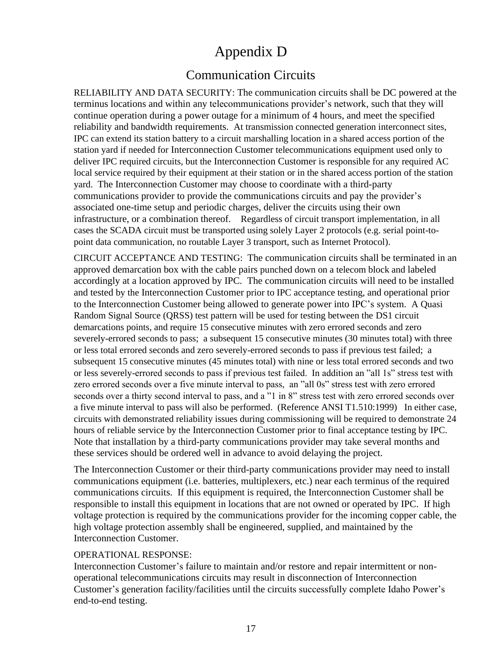## Appendix D

## Communication Circuits

RELIABILITY AND DATA SECURITY: The communication circuits shall be DC powered at the terminus locations and within any telecommunications provider's network, such that they will continue operation during a power outage for a minimum of 4 hours, and meet the specified reliability and bandwidth requirements. At transmission connected generation interconnect sites, IPC can extend its station battery to a circuit marshalling location in a shared access portion of the station yard if needed for Interconnection Customer telecommunications equipment used only to deliver IPC required circuits, but the Interconnection Customer is responsible for any required AC local service required by their equipment at their station or in the shared access portion of the station yard. The Interconnection Customer may choose to coordinate with a third-party communications provider to provide the communications circuits and pay the provider's associated one-time setup and periodic charges, deliver the circuits using their own infrastructure, or a combination thereof. Regardless of circuit transport implementation, in all cases the SCADA circuit must be transported using solely Layer 2 protocols (e.g. serial point-topoint data communication, no routable Layer 3 transport, such as Internet Protocol).

CIRCUIT ACCEPTANCE AND TESTING: The communication circuits shall be terminated in an approved demarcation box with the cable pairs punched down on a telecom block and labeled accordingly at a location approved by IPC. The communication circuits will need to be installed and tested by the Interconnection Customer prior to IPC acceptance testing, and operational prior to the Interconnection Customer being allowed to generate power into IPC's system. A Quasi Random Signal Source (QRSS) test pattern will be used for testing between the DS1 circuit demarcations points, and require 15 consecutive minutes with zero errored seconds and zero severely-errored seconds to pass; a subsequent 15 consecutive minutes (30 minutes total) with three or less total errored seconds and zero severely-errored seconds to pass if previous test failed; a subsequent 15 consecutive minutes (45 minutes total) with nine or less total errored seconds and two or less severely-errored seconds to pass if previous test failed. In addition an "all 1s" stress test with zero errored seconds over a five minute interval to pass, an "all 0s" stress test with zero errored seconds over a thirty second interval to pass, and a "1 in 8" stress test with zero errored seconds over a five minute interval to pass will also be performed. (Reference ANSI T1.510:1999) In either case, circuits with demonstrated reliability issues during commissioning will be required to demonstrate 24 hours of reliable service by the Interconnection Customer prior to final acceptance testing by IPC. Note that installation by a third-party communications provider may take several months and these services should be ordered well in advance to avoid delaying the project.

The Interconnection Customer or their third-party communications provider may need to install communications equipment (i.e. batteries, multiplexers, etc.) near each terminus of the required communications circuits. If this equipment is required, the Interconnection Customer shall be responsible to install this equipment in locations that are not owned or operated by IPC. If high voltage protection is required by the communications provider for the incoming copper cable, the high voltage protection assembly shall be engineered, supplied, and maintained by the Interconnection Customer.

#### OPERATIONAL RESPONSE:

Interconnection Customer's failure to maintain and/or restore and repair intermittent or nonoperational telecommunications circuits may result in disconnection of Interconnection Customer's generation facility/facilities until the circuits successfully complete Idaho Power's end-to-end testing.